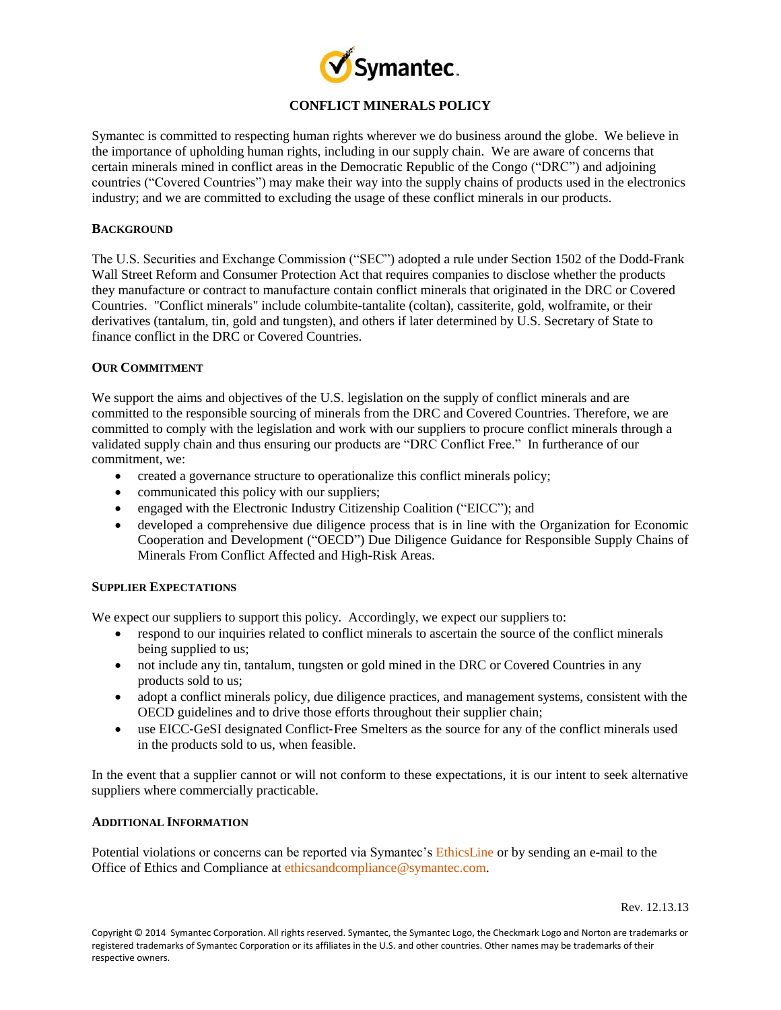

# **CONFLICT MINERALS POLICY**

Symantec is committed to respecting human rights wherever we do business around the globe. We believe in the importance of upholding human rights, including in our supply chain. We are aware of concerns that certain minerals mined in conflict areas in the Democratic Republic of the Congo ("DRC") and adjoining countries ("Covered Countries") may make their way into the supply chains of products used in the electronics industry; and we are committed to excluding the usage of these conflict minerals in our products.

## **BACKGROUND**

The U.S. Securities and Exchange Commission ("SEC") adopted a rule under Section 1502 of the Dodd-Frank Wall Street Reform and Consumer Protection Act that requires companies to disclose whether the products they manufacture or contract to manufacture contain conflict minerals that originated in the DRC or Covered Countries. "Conflict minerals" include columbite-tantalite (coltan), cassiterite, gold, wolframite, or their derivatives (tantalum, tin, gold and tungsten), and others if later determined by U.S. Secretary of State to finance conflict in the DRC or Covered Countries.

## **OUR COMMITMENT**

We support the aims and objectives of the U.S. legislation on the supply of conflict minerals and are committed to the responsible sourcing of minerals from the DRC and Covered Countries. Therefore, we are committed to comply with the legislation and work with our suppliers to procure conflict minerals through a validated supply chain and thus ensuring our products are "DRC Conflict Free." In furtherance of our commitment, we:

- created a governance structure to operationalize this conflict minerals policy;
- communicated this policy with our suppliers;
- engaged with the Electronic Industry Citizenship Coalition ("EICC"); and
- developed a comprehensive due diligence process that is in line with the Organization for Economic Cooperation and Development ("OECD") Due Diligence Guidance for Responsible Supply Chains of Minerals From Conflict Affected and High-Risk Areas.

## **SUPPLIER EXPECTATIONS**

We expect our suppliers to support this policy. Accordingly, we expect our suppliers to:

- respond to our inquiries related to conflict minerals to ascertain the source of the conflict minerals being supplied to us;
- not include any tin, tantalum, tungsten or gold mined in the DRC or Covered Countries in any products sold to us;
- adopt a conflict minerals policy, due diligence practices, and management systems, consistent with the OECD guidelines and to drive those efforts throughout their supplier chain;
- use EICC‐GeSI designated Conflict‐Free Smelters as the source for any of the conflict minerals used in the products sold to us, when feasible.

In the event that a supplier cannot or will not conform to these expectations, it is our intent to seek alternative suppliers where commercially practicable.

### **ADDITIONAL INFORMATION**

Potential violations or concerns can be reported via Symantec'[s EthicsLine](file:///C:/Users/simona_katcher/Documents/Conflict%20Minerals/SymantecEthicsLine.EthicsPoint.com) or by sending an e-mail to the Office of Ethics and Compliance at [ethicsandcompliance@symantec.com.](mailto:ethicsandcompliance@symantec.com)